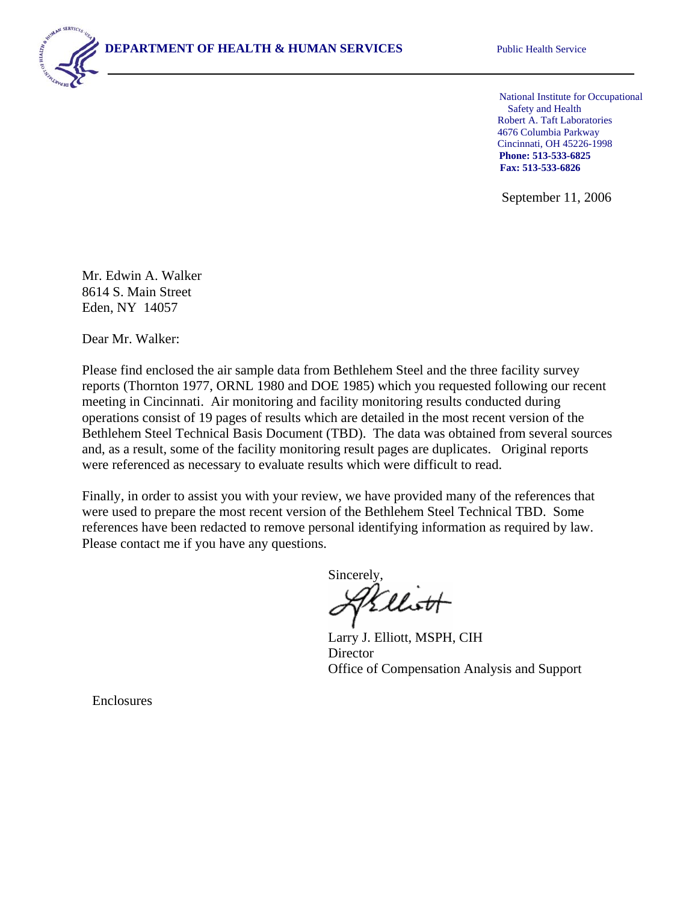National Institute for Occupational Safety and Health Robert A. Taft Laboratories 4676 Columbia Parkway Cincinnati, OH 45226-1998 **Phone: 513-533-6825 Fax: 513-533-6826** 

September 11, 2006

Mr. Edwin A. Walker 8614 S. Main Street Eden, NY 14057

Dear Mr. Walker:

Please find enclosed the air sample data from Bethlehem Steel and the three facility survey reports (Thornton 1977, ORNL 1980 and DOE 1985) which you requested following our recent meeting in Cincinnati. Air monitoring and facility monitoring results conducted during operations consist of 19 pages of results which are detailed in the most recent version of the Bethlehem Steel Technical Basis Document (TBD). The data was obtained from several sources and, as a result, some of the facility monitoring result pages are duplicates. Original reports were referenced as necessary to evaluate results which were difficult to read.

Finally, in order to assist you with your review, we have provided many of the references that were used to prepare the most recent version of the Bethlehem Steel Technical TBD. Some references have been redacted to remove personal identifying information as required by law. Please contact me if you have any questions.

Sincerely,

Larry J. Elliott, MSPH, CIH Director Office of Compensation Analysis and Support

Enclosures